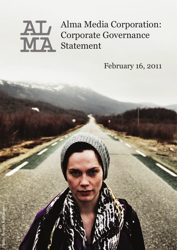# Alma Media Corporation: Corporate Governance AL Alma Med

February 16, 2011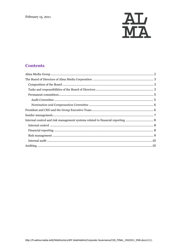

# **Contents**

| Internal control and risk management systems related to financial reporting  8 |  |
|--------------------------------------------------------------------------------|--|
|                                                                                |  |
|                                                                                |  |
|                                                                                |  |
|                                                                                |  |
|                                                                                |  |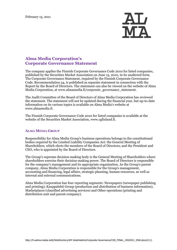

# **Alma Media Corporation's Corporate Governance Statement**

The company applies the Finnish Corporate Governance Code 2010 for listed companies, published by the Securities Market Association on June 15, 2010, in its unaltered form. The Corporate Governance Statement, required by the Finnish Corporate Governance Code, Recommendation 54, is published as separate statement in connection with the Report by the Board of Directors. The statement can also be viewed on the website of Alma Media Corporation, at [www.almamedia.fi/corporate\\_governance\\_statement.](http://www.almamedia.fi/corporate_governance_statement)

The Audit Committee of the Board of Directors of Alma Media Corporation has reviewed the statement. The statement will not be updated during the financial year, but up-to-date information on its various topics is available on Alma Media's website at [www.almamedia.fi.](http://www.almamedia.fi/)

The Finnish Corporate Governance Code 2010 for listed companies is available at the website of the Securities Market Association, www.cgfinland.fi.

# <span id="page-2-0"></span>**ALMA MEDIA GROUP**

Responsibility for Alma Media Group's business operations belongs to the constitutional bodies required by the Limited Liability Companies Act: the General Meeting of Shareholders, which elects the members of the Board of Directors; and the President and CEO, who is appointed by the Board of Directors.

The Group's supreme decision-making body is the General Meeting of Shareholders where shareholders exercise their decision-making power. The Board of Directors is responsible for the company's management and its appropriate organisation. As the Group's parent company, Alma Media Corporation is responsible for the Group's management, accounting and financing, legal affairs, strategic planning, human resources, as well as internal and external communications.

Alma Media Corporation has four reporting segments: Newspapers (newspaper publishing and printing); Kauppalehti Group (production and distribution of business information), Marketplaces (classified advertising services) and Other operations (printing and distribution unit and parent company).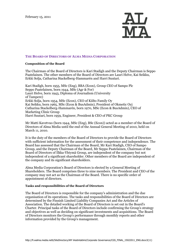

#### <span id="page-3-0"></span>**THE BOARD OF DIRECTORS OF ALMA MEDIA CORPORATION**

#### <span id="page-3-1"></span>**Composition of the Board**

The Chairman of the Board of Directors is Kari Stadigh and the Deputy Chairman is Seppo Paatelainen. The other members of the Board of Directors are Lauri Helve, Kai Seikku, Erkki Solja, Catharina Stackelberg-Hammarén and Harri Suutari.

Kari Stadigh, born 1955, MSc (Eng), BBA (Econ), Group CEO of Sampo Plc Seppo Paatelainen, born 1944, MSc (Agr & For) Lauri Helve, born 1943, Diploma of Journalism (University of Tampere) Erkki Solja, born 1954, MSc (Econ), CEO of Kiilto Family Oy Kai Seikku, born 1965, MSc (Econ & BusAdmin), President of Okmetic Oyj Catharina Stackelberg-Hammarén, born 1970, MSc (Econ & BusAdmin), CEO of Marketing Clinic Group Harri Suutari, born 1959, Engineer, President & CEO of PKC Group

Mr Matti Kavetvuo (born 1944, MSc (Eng), BSc (Econ)) acted as a member of the Board of Directors of Alma Media until the end of the Annual General Meeting of 2010, held on March 11, 2010.

It is the duty of the members of the Board of Directors to provide the Board of Directors with sufficient information for the assessment of their competence and independence. The Board has assessed that the Chairman of the Board, Mr Kari Stadigh, CEO of Sampo Group, and the Deputy Chairman of the Board, Mr Seppo Paatelainen, Chairman of the Board of Directors of Ilkka-Yhtymä Group, are independent of the company but not independent of a significant shareholder. Other members of the Board are independent of the company and its significant shareholders.

Alma Media Corporation's Board of Directors is elected by a General Meeting of Shareholders. The Board comprises three to nine members. The President and CEO of the company may not act as the Chairman of the Board. There is no specific order of appointment of directors.

#### <span id="page-3-2"></span>**Tasks and responsibilities of the Board of Directors**

The Board of Directors is responsible for the company's administration and the due organisation of its operations. The tasks and responsibilities of the Board of Directors are determined by the Finnish Limited Liability Companies Act and the Articles of Association. The detailed working of the Board of Directors is set out in the Board's Charter. Principal tasks of the Board of Directors include confirming the Group's strategy and objectives as well as deciding on significant investments and acquisitions. The Board of Directors monitors the Group's performance through monthly reports and other information provided by the Group's management.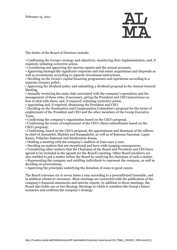

The duties of the Board of Directors include:

• Confirming the Group's strategy and objectives, monitoring their implementation, and, if required, initiating corrective action,

• Considering and approving the interim reports and the annual accounts,

• Approving strategically significant corporate and real estate acquisitions and disposals as well as investments according to separate investment instructions,

• Deciding on the Group's capital financing programmes and operations according to a separate treasury policy,

• Approving the dividend policy and submitting a dividend proposal to the Annual General Meeting,

• Annually reviewing the main risks associated with the company's operations and the management of these risks; if necessary, giving the President and CEO instructions on how to deal with them, and, if required, initiating corrective action,

• Appointing and, if required, dismissing the President and CEO,

• Deciding on the Nomination and Compensation Committee's proposal for the terms of employment of the President and CEO and the other members of the Group Executive Team,

• Confirming the company's organisation based on the CEO's proposal,

• Confirming the terms of employment of the CEO's direct subordinates based on the CEO's proposal,

• Confirming, based on the CEO's proposal, the appointment and dismissal of the editorsin-chief of Aamulehti, Iltalehti and Kauppalehti, as well as of Kainuun Sanomat, Lapin Kansa, Pohjolan Sanomat and Satakunnan Kansa,

• Holding a meeting with the company's auditors at least once a year,

• Deciding on matters that are exceptional and have wide-ranging consequences,

• Considering other matters that the Chairman of the Board and President and CEO have agreed to be included in the agenda for the Board's meeting. Other Board members are also entitled to put a matter before the Board by notifying the chairman of such a matter,

• Representing the company and entitling individuals to represent the company, as well as deciding on procurations,

• Approving the principles underlying the donation of sums to good causes.

The Board convenes six or seven times a year according to a preconfirmed timetable, and in addition whenever necessary. Most meetings are connected with the publication of the company's financial statements and interim reports. In addition to these meetings, the Board also holds one or two Strategy Meetings at which it considers the Group's future scenarios and confirms the company's strategy.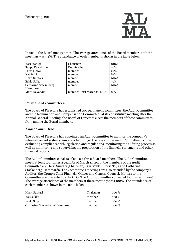

In 2010, the Board met 13 times. The average attendance of the Board members at these meetings was 94%. The attendance of each member is shown in the table below.

| Kari Stadigh           | Chairman                    | 100%       |
|------------------------|-----------------------------|------------|
| Seppo Paatelainen      | Deputy Chairman             | 92%        |
| Lauri Helve            | member                      | 92%        |
| Kai Seikku             | member                      | 85%        |
| Harri Suutari          | member                      | 100%       |
| Erkki Solja            | member                      | 92%        |
| Catharina Stackelberg- | member                      | 100%       |
| Hammarén               |                             |            |
| Matti Kavetvuo         | member until March 11, 2010 | <b>0</b> % |

### <span id="page-5-0"></span>**Permanent committees**

The Board of Directors has established two permanent committees: the Audit Committee and the Nomination and Compensation Committee. At its constitutive meeting after the Annual General Meeting, the Board of Directors elects the members of these committees from among the Board members.

# <span id="page-5-1"></span>*Audit Committee*

The Board of Directors has appointed an Audit Committee to monitor the company's internal control systems. Among other things, the tasks of the Audit Committee include evaluating compliance with legislation and regulations, monitoring the auditing process as well as monitoring and supervising the preparation of the financial statements and other financial reports.

The Audit Committee consists of at least three Board members. The Audit Committee meets at least four times a year. As of March 11, 2010, the members of the Audit Committee are Harri Suutari (Chairman), Kai Seikku, Erkki Solja and Catharina Stackelberg-Hammarén. The Committee's meetings are also attended by the company's Auditor, the Group's Chief Financial Officer and General Counsel. Matters to the Committee are presented by the CFO. The Audit Committee convened four times in 2010. The average attendance of the members at these meetings was 100%. The attendance of each member is shown in the table below.

| Harri Suutari                  | Chairman | 100 % |
|--------------------------------|----------|-------|
| Kai Seikku                     | member   | 100 % |
| Erkki Solja                    | member   | 100 % |
| Catharina Stackelberg-Hammarén | member   | 100 % |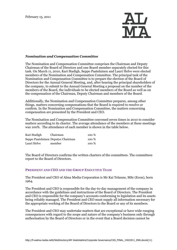

#### <span id="page-6-0"></span>*Nomination and Compensation Committee*

The Nomination and Compensation Committee comprises the Chairman and Deputy Chairman of the Board of Directors and one Board member separately elected for this task. On March 11, 2010, Kari Stadigh, Seppo Paatelainen and Lauri Helve were elected members of the Nomination and Compensation Committee. The principal task of the Nomination and Compensation Committee is to prepare the election of the Board of Directors for the Annual General Meeting, and, after hearing the principal shareholders of the company, to submit to the Annual General Meeting a proposal on the number of the members of the Board, the individuals to be elected members of the Board as well as on the compensation of the Chairman, Deputy Chairman and members of the Board.

Additionally, the Nomination and Compensation Committee prepares, among other things, matters concerning compensations that the Board is required to resolve or confirm. In the Nomination and Compensation Committee, the matters concerning compensation are presented by the President and CEO.

The Nomination and Compensation Committee convened seven times in 2010 to consider matters according to its charter. The average attendance of the members at these meetings was 100%. The attendance of each member is shown in the table below.

| Kari Stadigh | Chairman                           | 100 % |
|--------------|------------------------------------|-------|
|              | Seppo Paatelainen Deputye Chairman | 100 % |
| Lauri Helve  | member                             | 100 % |

The Board of Directors confirms the written charters of the committees. The committees report to the Board of Directors.

#### <span id="page-6-1"></span>**PRESIDENT AND CEO AND THE GROUP EXECUTIVE TEAM**

The President and CEO of Alma Media Corporation is Mr Kai Telanne, MSc (Econ), born 1964.

The President and CEO is responsible for the day-to-day management of the company in accordance with the guidelines and instructions of the Board of Directors. The President and CEO is responsible for the company's accounts conforming to legislation and its assets being reliably managed. The President and CEO must supply all information necessary for the appropriate working of the Board of Directors to the Board or any of its members.

The President and CEO may undertake matters that are exceptional or have wide-ranging consequences with regard to the scope and nature of the company's business only through authorisation by the Board of Directors or in the event that a Board decision cannot be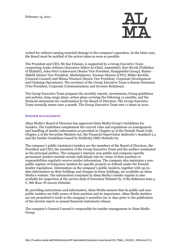

waited for without causing essential damage to the company's operation. In the latter case, the Board must be notified of the action taken as soon as possible.

The President and CEO, Mr Kai Telanne, is supported by a Group Executive Team comprising Jouko Jokinen (Executive Editor-in-Chief, Aamulehti), Kari Kivelä (Publisher of Iltalehti), Juha-Petri Loimovuori (Senior Vice President, Kauppalehti Group), Raimo Mäkilä (Senior Vice President, Marketplaces), Tuomas Itkonen (CFO), Mikko Korttila (General Counsel) and Minna Nissinen (Senior Vice President, Corporate Development and Chaining Operations). The secretary of the Group Executive Team is Rauno Heinonen (Vice President, Corporate Communications and Investor Relations).

The Group Executive Team prepares the monthly reports, investments, Group guidelines and policies, long-range plans, action plans covering the following 12 months, and the financial statements for confirmation by the Board of Directors. The Group Executive Team normally meets once a month. The Group Executive Team met 11 times in 2010.

#### <span id="page-7-0"></span>**INSIDER MANAGEMENT**

Alma Media's Board of Directors has approved Alma Media Group's Guidelines for Insiders. The Guidelines complement the current rules and regulations on management and handling of insider information as provided in Chapter 51 of the Finnish Penal Code, Chapter 5 of the Securities Markets Act, the Financial Supervision Authority's standard 5.3 and the Insider Guidelines issued by NASDAQ OMX Helsinki Oy.

The company's public (statutory) insiders are the members of the Board of Directors, the President and CEO, the members of the Group Executive Team and the auditor nominated as the principal auditor. The company's internal, non-public and company-specific permanent insiders include certain individuals who by virtue of their position or responsibilities regularly receive insider information. The company also maintains a nonpublic register of temporary insiders for specific projects as defined under the Finnish insider regulations. Information on the company's public insiders, together with up-todate information on their holdings and changes in these holdings, are available on Alma Media's website. The information contained in Alma Media's insider register is also available for inspection at the service desk of Euroclear Finland Oy, Urho Kekkosen katu 5 C, 8th floor, FI-00100 Helsinki.

By providing instructions and information, Alma Media ensures that its public and nonpublic insiders are fully aware of their position and its importance. Alma Media insiders are not permitted to trade in the company's securities for 21 days prior to the publication of the interim report or annual financial statements release.

The company's General Counsel is responsible for insider management in Alma Media Group.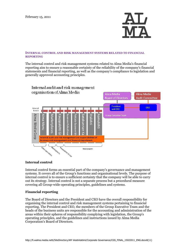

#### <span id="page-8-0"></span>**INTERNAL CONTROL AND RISK MANAGEMENT SYSTEMS RELATED TO FINANCIAL REPORTING**

The internal control and risk management systems related to Alma Media's financial reporting aim to ensure a reasonable certainty of the reliability of the company's financial statements and financial reporting, as well as the company's compliance to legislation and generally approved accounting principles.



# <span id="page-8-1"></span>**Internal control**

Internal control forms an essential part of the company's governance and management systems. It covers all of the Group's functions and organisational levels. The purpose of internal control is to ensure a sufficient certainty that the company will be able to carry out its strategy. Internal control is not a separate process but a procedural measure covering all Group-wide operating principles, guidelines and systems.

# <span id="page-8-2"></span>**Financial reporting**

The Board of Directors and the President and CEO have the overall responsibility for organising the internal control and risk management systems pertaining to financial reporting. The President and CEO, the members of the Group Executive Team and the heads of the business units are responsible for the accounting and administration of the areas within their spheres of responsibility complying with legislation, the Group's operating principles, and the guidelines and instructions issued by Alma Media Corporation's Board of Directors.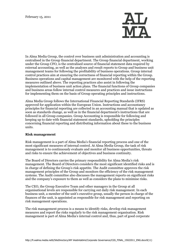

In Alma Media Group, the control over business unit administration and accounting is centralised in the Group financial department. The Group financial department, working under the Group CFO, is the centralised source of financial statement data required by external accounting, as well as the analyses and result reports to Group and business unit management teams for following the profitability of business operations. Group internal control practices aim at ensuring the correctness of financial reporting within the Group. Business operations and capital management are monitored with the help of the reporting measures outlined above. The reporting practices also assist in following the implementation of business unit action plans. The financial functions of Group companies and business areas follow internal control measures and practices and issue instructions for implementing them on the basis of Group operating principles and instructions.

Alma Media Group follows the International Financial Reporting Standards (IFRS) approved for application within the European Union. Instructions and accountancy principles for financial reporting are collected in an accounting manual that is updated as soon as standards change, as well as in the financial department's instructions that are followed in all Group companies. Group Accounting is responsible for following and keeping up to date with financial statement standards, upholding the principles concerning financial reporting and distributing information about these to the business units.

# <span id="page-9-0"></span>**Risk management**

Risk management is a part of Alma Media's financial reporting process and one of the most significant measures of internal control. At Alma Media Group, the task of risk management is to continuously evaluate and monitor all business opportunities, threats and risks to ensure the achievement of objectives and business continuity.

The Board of Directors carries the primary responsibility for Alma Media's risk management. The Board of Directors considers the most significant identified risks and is in charge of defining the Group's risk appetite. The Audit committee approves the risk management principles of the Group and monitors the efficiency of the risk management systems. The Audit committee also discusses the management reports on significant risks and the company's exposure to them as well as considers the plans to minimise risks.

The CEO, the Group Executive Team and other managers in the Group at all organisational levels are responsible for carrying out daily risk management. In each business unit, a member of the unit's executive group, usually the person in charge of the finances of the unit, is appointed as responsible for risk management and reporting on risk management operations.

The risk management process is a means to identify risks, develop risk management measures and report the risks regularly to the risk management organisation. Risk management is part of Alma Media's internal control and, thus, part of good corporate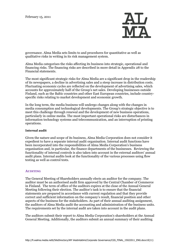

governance. Alma Media sets limits to and procedures for quantitative as well as qualitative risks in writing in its risk management system.

Alma Media categorises the risks affecting its business into strategic, operational and financing risks. The financing risks are described in more detail in Appendix 28 to the Financial statements.

The most significant strategic risks for Alma Media are a significant drop in the readership of its newspapers, a decline in advertising sales and a steep increase in distribution costs. Fluctuating economic cycles are reflected on the development of advertising sales, which accounts for approximately half of the Group's net sales. Developing businesses outside Finland, such as the Baltic countries and other East European countries, include countryspecific risks relating to market development and economic growth.

In the long term, the media business will undergo changes along with the changes in media consumption and technological developments. The Group's strategic objective is to meet this challenge through renewal and the development of new business operations, particularly in online media. The most important operational risks are disturbances in information technology systems and telecommunication, and an interruption of printing operations.

#### <span id="page-10-0"></span>**Internal audit**

Given the nature and scope of its business, Alma Media Corporation does not consider it expedient to have a separate internal audit organisation. Internal audit functions have been incorporated into the responsibilities of Alma Media Corporation's business organisation and, in particular, the finance departments of the businesses. Reviewing the functionality of internal controls is also taken into account in the external auditors' annual audit plans. Internal audits look at the functionality of the various processes using flow testing as well as control tests.

#### <span id="page-10-1"></span>**AUDITING**

The General Meeting of Shareholders annually elects an auditor for the company. The auditor must be an authorised audit firm approved by the Central Chamber of Commerce in Finland. The term of office of the auditors expires at the close of the Annual General Meeting following their election. The auditor's task is to ensure that the financial statements are prepared in accordance with current regulation and that they provide correct and sufficient information on the company's result, financial position and other aspects of the business for the stakeholders. As part of their annual auditing assignment, the auditors of Alma Media audit the accounting and administration of the business units. The requirements set by the internal audit are taken into account in the audit plans.

The auditors submit their report to Alma Media Corporation's shareholders at the Annual General Meeting. Additionally, the auditors submit an annual summary of their auditing